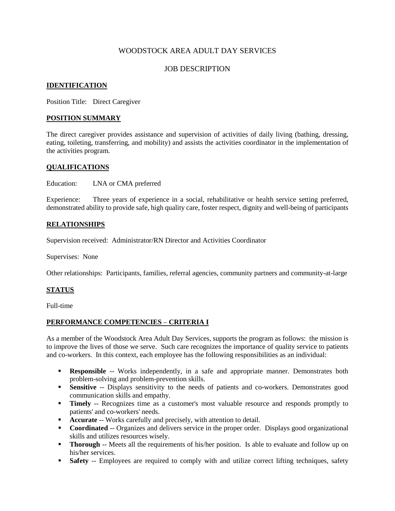# WOODSTOCK AREA ADULT DAY SERVICES

## JOB DESCRIPTION

### **IDENTIFICATION**

Position Title: Direct Caregiver

#### **POSITION SUMMARY**

The direct caregiver provides assistance and supervision of activities of daily living (bathing, dressing, eating, toileting, transferring, and mobility) and assists the activities coordinator in the implementation of the activities program.

### **QUALIFICATIONS**

Education: LNA or CMA preferred

Experience: Three years of experience in a social, rehabilitative or health service setting preferred, demonstrated ability to provide safe, high quality care, foster respect, dignity and well-being of participants

### **RELATIONSHIPS**

Supervision received: Administrator/RN Director and Activities Coordinator

Supervises: None

Other relationships: Participants, families, referral agencies, community partners and community-at-large

### **STATUS**

Full-time

### **PERFORMANCE COMPETENCIES** – **CRITERIA I**

As a member of the Woodstock Area Adult Day Services, supports the program as follows: the mission is to improve the lives of those we serve. Such care recognizes the importance of quality service to patients and co-workers. In this context, each employee has the following responsibilities as an individual:

- **Responsible** -- Works independently, in a safe and appropriate manner. Demonstrates both problem-solving and problem-prevention skills.
- **Sensitive** -- Displays sensitivity to the needs of patients and co-workers. Demonstrates good communication skills and empathy.
- **Timely** -- Recognizes time as a customer's most valuable resource and responds promptly to patients' and co-workers' needs.
- **Accurate** -- Works carefully and precisely, with attention to detail.
- **Coordinated** -- Organizes and delivers service in the proper order. Displays good organizational skills and utilizes resources wisely.
- **Thorough** -- Meets all the requirements of his/her position. Is able to evaluate and follow up on his/her services.
- **Safety** -- Employees are required to comply with and utilize correct lifting techniques, safety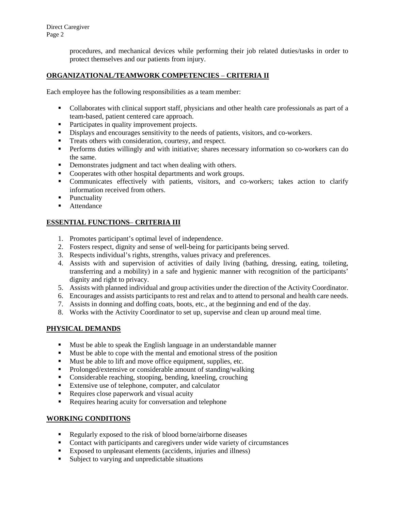Direct Caregiver Page 2

> procedures, and mechanical devices while performing their job related duties/tasks in order to protect themselves and our patients from injury.

### **ORGANIZATIONAL/TEAMWORK COMPETENCIES** – **CRITERIA II**

Each employee has the following responsibilities as a team member:

- Collaborates with clinical support staff, physicians and other health care professionals as part of a team-based, patient centered care approach.
- Participates in quality improvement projects.
- Displays and encourages sensitivity to the needs of patients, visitors, and co-workers.
- Treats others with consideration, courtesy, and respect.
- **Performs duties willingly and with initiative; shares necessary information so co-workers can do** the same.
- Demonstrates judgment and tact when dealing with others.
- Cooperates with other hospital departments and work groups.
- Communicates effectively with patients, visitors, and co-workers; takes action to clarify information received from others.
- Punctuality
- **Attendance**

### **ESSENTIAL FUNCTIONS**– **CRITERIA III**

- 1. Promotes participant's optimal level of independence.
- 2. Fosters respect, dignity and sense of well-being for participants being served.
- 3. Respects individual's rights, strengths, values privacy and preferences.
- 4. Assists with and supervision of activities of daily living (bathing, dressing, eating, toileting, transferring and a mobility) in a safe and hygienic manner with recognition of the participants' dignity and right to privacy.
- 5. Assists with planned individual and group activities under the direction of the Activity Coordinator.
- 6. Encourages and assists participants to rest and relax and to attend to personal and health care needs.
- 7. Assists in donning and doffing coats, boots, etc., at the beginning and end of the day.
- 8. Works with the Activity Coordinator to set up, supervise and clean up around meal time.

### **PHYSICAL DEMANDS**

- Must be able to speak the English language in an understandable manner
- Must be able to cope with the mental and emotional stress of the position
- Must be able to lift and move office equipment, supplies, etc.
- **Prolonged/extensive or considerable amount of standing/walking**
- Considerable reaching, stooping, bending, kneeling, crouching
- Extensive use of telephone, computer, and calculator
- Requires close paperwork and visual acuity
- Requires hearing acuity for conversation and telephone

### **WORKING CONDITIONS**

- Regularly exposed to the risk of blood borne/airborne diseases
- Contact with participants and caregivers under wide variety of circumstances
- Exposed to unpleasant elements (accidents, injuries and illness)
- Subject to varying and unpredictable situations